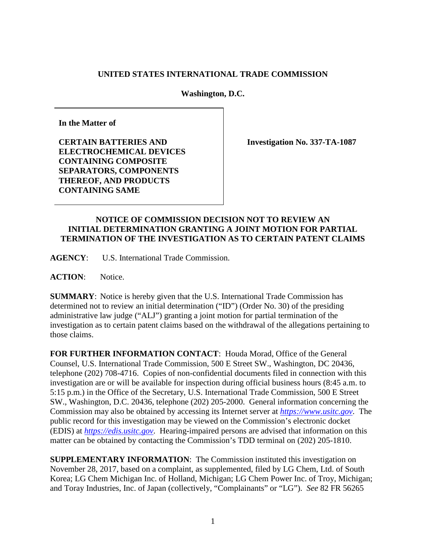## **UNITED STATES INTERNATIONAL TRADE COMMISSION**

**Washington, D.C.** 

**In the Matter of**

**CERTAIN BATTERIES AND ELECTROCHEMICAL DEVICES CONTAINING COMPOSITE SEPARATORS, COMPONENTS THEREOF, AND PRODUCTS CONTAINING SAME**

**Investigation No. 337-TA-1087**

## **NOTICE OF COMMISSION DECISION NOT TO REVIEW AN INITIAL DETERMINATION GRANTING A JOINT MOTION FOR PARTIAL TERMINATION OF THE INVESTIGATION AS TO CERTAIN PATENT CLAIMS**

**AGENCY**: U.S. International Trade Commission.

**ACTION**: Notice.

**SUMMARY**: Notice is hereby given that the U.S. International Trade Commission has determined not to review an initial determination ("ID") (Order No. 30) of the presiding administrative law judge ("ALJ") granting a joint motion for partial termination of the investigation as to certain patent claims based on the withdrawal of the allegations pertaining to those claims.

**FOR FURTHER INFORMATION CONTACT**: Houda Morad, Office of the General Counsel, U.S. International Trade Commission, 500 E Street SW., Washington, DC 20436, telephone (202) 708-4716. Copies of non-confidential documents filed in connection with this investigation are or will be available for inspection during official business hours (8:45 a.m. to 5:15 p.m.) in the Office of the Secretary, U.S. International Trade Commission, 500 E Street SW., Washington, D.C. 20436, telephone (202) 205-2000. General information concerning the Commission may also be obtained by accessing its Internet server at *[https://www.usitc.gov](https://www.usitc.gov/)*. The public record for this investigation may be viewed on the Commission's electronic docket (EDIS) at *[https://edis.usitc.gov](http://edis.usitc.gov/)*. Hearing-impaired persons are advised that information on this matter can be obtained by contacting the Commission's TDD terminal on (202) 205-1810.

**SUPPLEMENTARY INFORMATION**: The Commission instituted this investigation on November 28, 2017, based on a complaint, as supplemented, filed by LG Chem, Ltd. of South Korea; LG Chem Michigan Inc. of Holland, Michigan; LG Chem Power Inc. of Troy, Michigan; and Toray Industries, Inc. of Japan (collectively, "Complainants" or "LG"). *See* 82 FR 56265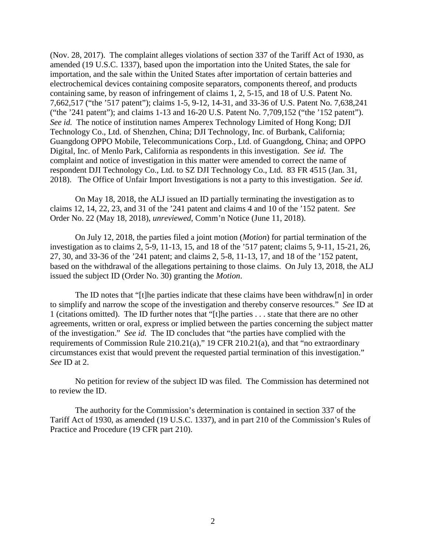(Nov. 28, 2017). The complaint alleges violations of section 337 of the Tariff Act of 1930, as amended (19 U.S.C. 1337), based upon the importation into the United States, the sale for importation, and the sale within the United States after importation of certain batteries and electrochemical devices containing composite separators, components thereof, and products containing same, by reason of infringement of claims 1, 2, 5-15, and 18 of U.S. Patent No. 7,662,517 ("the '517 patent"); claims 1-5, 9-12, 14-31, and 33-36 of U.S. Patent No. 7,638,241 ("the '241 patent"); and claims 1-13 and 16-20 U.S. Patent No. 7,709,152 ("the '152 patent"). *See id.* The notice of institution names Amperex Technology Limited of Hong Kong; DJI Technology Co., Ltd. of Shenzhen, China; DJI Technology, Inc. of Burbank, California; Guangdong OPPO Mobile, Telecommunications Corp., Ltd. of Guangdong, China; and OPPO Digital, Inc. of Menlo Park, California as respondents in this investigation. *See id.* The complaint and notice of investigation in this matter were amended to correct the name of respondent DJI Technology Co., Ltd. to SZ DJI Technology Co., Ltd. 83 FR 4515 (Jan. 31, 2018). The Office of Unfair Import Investigations is not a party to this investigation. *See id.* 

On May 18, 2018, the ALJ issued an ID partially terminating the investigation as to claims 12, 14, 22, 23, and 31 of the '241 patent and claims 4 and 10 of the '152 patent. *See* Order No. 22 (May 18, 2018), *unreviewed*, Comm'n Notice (June 11, 2018).

On July 12, 2018, the parties filed a joint motion (*Motion*) for partial termination of the investigation as to claims 2, 5-9, 11-13, 15, and 18 of the '517 patent; claims 5, 9-11, 15-21, 26, 27, 30, and 33-36 of the '241 patent; and claims 2, 5-8, 11-13, 17, and 18 of the '152 patent, based on the withdrawal of the allegations pertaining to those claims. On July 13, 2018, the ALJ issued the subject ID (Order No. 30) granting the *Motion*.

The ID notes that "[t]he parties indicate that these claims have been withdraw[n] in order to simplify and narrow the scope of the investigation and thereby conserve resources." *See* ID at 1 (citations omitted). The ID further notes that "[t]he parties . . . state that there are no other agreements, written or oral, express or implied between the parties concerning the subject matter of the investigation." *See id.* The ID concludes that "the parties have complied with the requirements of Commission Rule 210.21(a)," 19 CFR 210.21(a), and that "no extraordinary circumstances exist that would prevent the requested partial termination of this investigation." *See* ID at 2.

No petition for review of the subject ID was filed. The Commission has determined not to review the ID.

The authority for the Commission's determination is contained in section 337 of the Tariff Act of 1930, as amended (19 U.S.C. 1337), and in part 210 of the Commission's Rules of Practice and Procedure (19 CFR part 210).